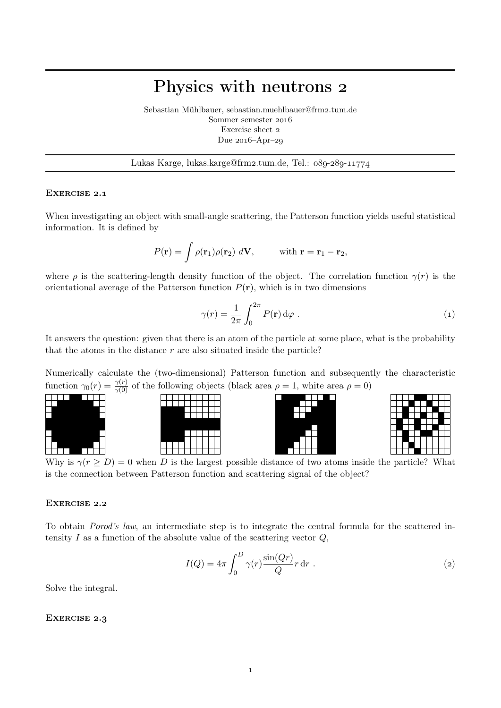## Physics with neutrons

Sebastian Mühlbauer, sebastian.muehlbauer@frm2.tum.de Sommer semester Exercise sheet Due  $2016$ -Apr-29

Lukas Karge, lukas.karge@frm2.tum.de, Tel.:  $089-289-11774$ 

## EXERCISE 2.1

When investigating an object with small-angle scattering, the Patterson function yields useful statistical information. It is defined by

$$
P(\mathbf{r}) = \int \rho(\mathbf{r}_1)\rho(\mathbf{r}_2) d\mathbf{V}, \quad \text{with } \mathbf{r} = \mathbf{r}_1 - \mathbf{r}_2,
$$

where  $\rho$  is the scattering-length density function of the object. The correlation function  $\gamma(r)$  is the orientational average of the Patterson function  $P(\mathbf{r})$ , which is in two dimensions

$$
\gamma(r) = \frac{1}{2\pi} \int_0^{2\pi} P(\mathbf{r}) \, d\varphi \; . \tag{1}
$$

It answers the question: given that there is an atom of the particle at some place, what is the probability that the atoms in the distance  $r$  are also situated inside the particle?

Numerically calculate the (two-dimensional) Patterson function and subsequently the characteristic function  $\gamma_0(r) = \frac{\gamma(r)}{\gamma(0)}$  of the following objects (black area  $\rho = 1$ , white area  $\rho = 0$ )









Why is  $\gamma(r \geq D) = 0$  when D is the largest possible distance of two atoms inside the particle? What is the connection between Patterson function and scattering signal of the object?

## EXERCISE 2.2

To obtain Porod's law, an intermediate step is to integrate the central formula for the scattered intensity  $I$  as a function of the absolute value of the scattering vector  $Q$ ,

$$
I(Q) = 4\pi \int_0^D \gamma(r) \frac{\sin(Qr)}{Q} r \, dr \tag{2}
$$

Solve the integral.

## EXERCISE 2.3